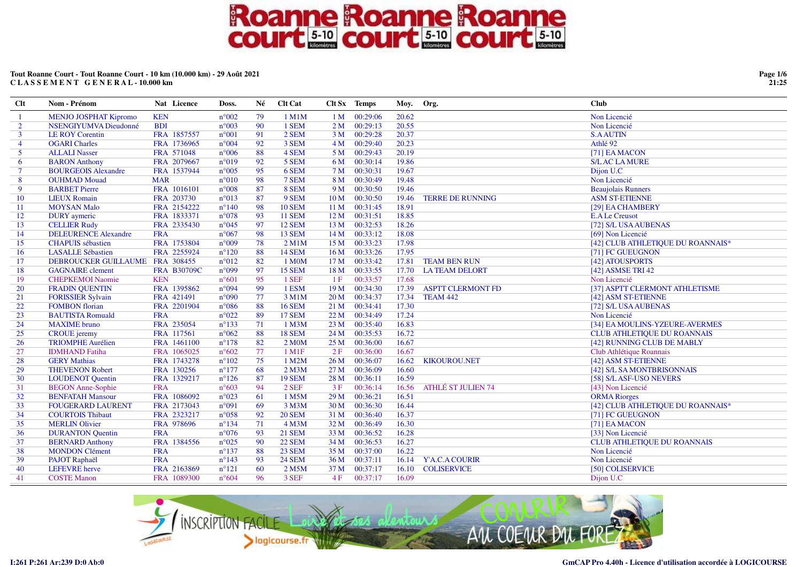### **Tout Roanne Court - Tout Roanne Court - 10 km (10.000 km) - 29 Août 2021C L A S S E M E N T G E N E R A L - 10.000 km**

| <b>Clt</b>     | Nom - Prénom                    | Nat Licence        | Doss.          | Né | <b>Clt Cat</b>     |                 | Clt Sx Temps | Moy.  | Org.                      | <b>Club</b>                        |
|----------------|---------------------------------|--------------------|----------------|----|--------------------|-----------------|--------------|-------|---------------------------|------------------------------------|
| -1             | <b>MENJO JOSPHAT Kipromo</b>    | <b>KEN</b>         | $n^{\circ}002$ | 79 | 1 M1M              | 1 <sub>M</sub>  | 00:29:06     | 20.62 |                           | Non Licencié                       |
| $\overline{2}$ | NSENGIYUMVA Dieudonné           | <b>BDI</b>         | $n^{\circ}003$ | 90 | 1 SEM              | 2M              | 00:29:13     | 20.55 |                           | Non Licencié                       |
| $\mathbf{3}$   | <b>LE ROY Corentin</b>          | FRA 1857557        | $n^{\circ}001$ | 91 | 2 SEM              | 3 M             | 00:29:28     | 20.37 |                           | <b>S.AAUTIN</b>                    |
| $\overline{4}$ | <b>OGARI</b> Charles            | FRA 1736965        | $n^{\circ}004$ | 92 | 3 SEM              | 4M              | 00:29:40     | 20.23 |                           | Athlé 92                           |
| 5 <sup>5</sup> | <b>ALLALI Nasser</b>            | FRA 571048         | $n^{\circ}006$ | 88 | 4 SEM              | 5 M             | 00:29:43     | 20.19 |                           | [71] EA MACON                      |
| 6              | <b>BARON</b> Anthony            | FRA 2079667        | $n^{\circ}019$ | 92 | 5 SEM              | 6 M             | 00:30:14     | 19.86 |                           | <b>S/LAC LA MURE</b>               |
| $\tau$         | <b>BOURGEOIS Alexandre</b>      | FRA 1537944        | $n^{\circ}005$ | 95 | 6 SEM              | 7 <sub>M</sub>  | 00:30:31     | 19.67 |                           | Dijon U.C                          |
| 8              | <b>OUHMAD Mouad</b>             | <b>MAR</b>         | $n^{\circ}010$ | 98 | 7 SEM              | 8 M             | 00:30:49     | 19.48 |                           | Non Licencié                       |
| 9              | <b>BARBET Pierre</b>            | FRA 1016101        | $n^{\circ}008$ | 87 | 8 SEM              | 9 M             | 00:30:50     | 19.46 |                           | <b>Beaujolais Runners</b>          |
| 10             | <b>LIEUX Romain</b>             | FRA 203730         | $n^{\circ}013$ | 87 | 9 SEM              | 10 <sub>M</sub> | 00:30:50     | 19.46 | <b>TERRE DE RUNNING</b>   | <b>ASM ST-ETIENNE</b>              |
| 11             | <b>MOYSAN Malo</b>              | FRA 2154222        | $n^{\circ}140$ | 98 | <b>10 SEM</b>      | 11 <sub>M</sub> | 00:31:45     | 18.91 |                           | [29] EA CHAMBERY                   |
| 12             | <b>DURY</b> aymeric             | FRA 1833371        | $n^{\circ}078$ | 93 | <b>11 SEM</b>      | 12M             | 00:31:51     | 18.85 |                           | <b>E.A Le Creusot</b>              |
| 13             | <b>CELLIER Rudy</b>             | FRA 2335430        | $n^{\circ}045$ | 97 | <b>12 SEM</b>      | 13M             | 00:32:53     | 18.26 |                           | [72] S/L USA AUBENAS               |
| 14             | <b>DELEURENCE Alexandre</b>     | <b>FRA</b>         | $n^{\circ}067$ | 98 | 13 SEM             | 14M             | 00:33:12     | 18.08 |                           | [69] Non Licencié                  |
| 15             | <b>CHAPUIS</b> sébastien        | FRA 1753804        | $n^{\circ}009$ | 78 | $2$ M1M            | 15 <sub>M</sub> | 00:33:23     | 17.98 |                           | [42] CLUB ATHLETIQUE DU ROANNAIS*  |
| 16             | <b>LASALLE Sébastien</b>        | FRA 2255924        | $n^{\circ}120$ | 88 | <b>14 SEM</b>      | 16M             | 00:33:26     | 17.95 |                           | [71] FC GUEUGNON                   |
| 17             | DEBROUCKER GUILLAUME FRA 308455 |                    | $n^{\circ}012$ | 82 | 1 M <sub>0</sub> M | 17 <sub>M</sub> | 00:33:42     | 17.81 | <b>TEAM BEN RUN</b>       | [42] ATOUSPORTS                    |
| 18             | <b>GAGNAIRE</b> clement         | <b>FRA B30709C</b> | $n^{\circ}099$ | 97 | <b>15 SEM</b>      | 18 <sub>M</sub> | 00:33:55     | 17.70 | <b>LATEAM DELORT</b>      | [42] ASMSE TRI 42                  |
| 19             | <b>CHEPKEMOI Naomie</b>         | <b>KEN</b>         | $n^{\circ}601$ | 95 | 1 SEF              | 1F              | 00:33:57     | 17.68 |                           | Non Licencié                       |
| 20             | <b>FRADIN QUENTIN</b>           | FRA 1395862        | $n^{\circ}094$ | 99 | 1 ESM              | 19 <sub>M</sub> | 00:34:30     | 17.39 | <b>ASPTT CLERMONT FD</b>  | [37] ASPTT CLERMONT ATHLETISME     |
| 21             | <b>FORISSIER Sylvain</b>        | FRA 421491         | $n^{\circ}090$ | 77 | 3 M1M              | 20 <sub>M</sub> | 00:34:37     | 17.34 | <b>TEAM 442</b>           | [42] ASM ST-ETIENNE                |
| 22             | <b>FOMBON</b> florian           | FRA 2201904        | $n^{\circ}086$ | 88 | <b>16 SEM</b>      | 21 M            | 00:34:41     | 17.30 |                           | [72] S/L USA AUBENAS               |
| 23             | <b>BAUTISTA Romuald</b>         | <b>FRA</b>         | $n^{\circ}022$ | 89 | <b>17 SEM</b>      | 22 M            | 00:34:49     | 17.24 |                           | Non Licencié                       |
| 24             | <b>MAXIME</b> bruno             | FRA 235054         | $n^{\circ}133$ | 71 | 1 M3M              | 23M             | 00:35:40     | 16.83 |                           | [34] EA MOULINS-YZEURE-AVERMES     |
| 25             | <b>CROUE</b> jeremy             | FRA 117561         | $n^{\circ}062$ | 88 | <b>18 SEM</b>      | 24M             | 00:35:53     | 16.72 |                           | <b>CLUB ATHLETIQUE DU ROANNAIS</b> |
| 26             | <b>TRIOMPHE Aurélien</b>        | FRA 1461100        | $n^{\circ}178$ | 82 | 2 MOM              | 25 M            | 00:36:00     | 16.67 |                           | [42] RUNNING CLUB DE MABLY         |
| 27             | <b>IDMHAND</b> Fatiha           | FRA 1065025        | $n^{\circ}602$ | 77 | 1 M1F              | 2F              | 00:36:00     | 16.67 |                           | Club Athlétique Roannais           |
| 28             | <b>GERY Mathias</b>             | FRA 1743278        | $n^{\circ}102$ | 75 | 1 M2M              | 26 M            | 00:36:07     | 16.62 | KIKOUROU.NET              | [42] ASM ST-ETIENNE                |
| 29             | <b>THEVENON Robert</b>          | FRA 130256         | $n^{\circ}177$ | 68 | $2$ M $3$ M        | 27 M            | 00:36:09     | 16.60 |                           | [42] S/L SA MONTBRISONNAIS         |
| 30             | <b>LOUDENOT Quentin</b>         | FRA 1329217        | $n^{\circ}126$ | 87 | <b>19 SEM</b>      | 28 M            | 00:36:11     | 16.59 |                           | [58] S/L ASF-USO NEVERS            |
| 31             | <b>BEGON Anne-Sophie</b>        | <b>FRA</b>         | $n^{\circ}603$ | 94 | 2 SEF              | 3F              | 00:36:14     | 16.56 | <b>ATHLÉ ST JULIEN 74</b> | [43] Non Licencié                  |
| 32             | <b>BENFATAH Mansour</b>         | FRA 1086092        | $n^{\circ}023$ | 61 | 1 M5M              | 29 <sub>M</sub> | 00:36:21     | 16.51 |                           | <b>ORMA</b> Riorges                |
| 33             | <b>FOUGERARD LAURENT</b>        | FRA 2173043        | $n^{\circ}091$ | 69 | 3 M <sub>3</sub> M | 30 <sub>M</sub> | 00:36:30     | 16.44 |                           | [42] CLUB ATHLETIQUE DU ROANNAIS*  |
| 34             | <b>COURTOIS Thibaut</b>         | FRA 2323217        | $n^{\circ}058$ | 92 | <b>20 SEM</b>      | 31 M            | 00:36:40     | 16.37 |                           | [71] FC GUEUGNON                   |
| 35             | <b>MERLIN Olivier</b>           | FRA 978696         | $n^{\circ}134$ | 71 | 4 M3M              | 32 M            | 00:36:49     | 16.30 |                           | [71] EA MACON                      |
| 36             | <b>DURANTON Quentin</b>         | <b>FRA</b>         | $n^{\circ}076$ | 93 | <b>21 SEM</b>      | 33 M            | 00:36:52     | 16.28 |                           | [33] Non Licencié                  |
| 37             | <b>BERNARD Anthony</b>          | FRA 1384556        | $n^{\circ}025$ | 90 | <b>22 SEM</b>      | 34 M            | 00:36:53     | 16.27 |                           | CLUB ATHLETIQUE DU ROANNAIS        |
| 38             | <b>MONDON Clément</b>           | <b>FRA</b>         | $n^{\circ}137$ | 88 | <b>23 SEM</b>      | 35 M            | 00:37:00     | 16.22 |                           | Non Licencié                       |
| 39             | PAJOT Raphaël                   | <b>FRA</b>         | $n^{\circ}143$ | 93 | <b>24 SEM</b>      | 36 M            | 00:37:11     | 16.14 | Y'A.C.A COURIR            | Non Licencié                       |
| 40             | <b>LEFEVRE</b> herve            | FRA 2163869        | $n^{\circ}121$ | 60 | 2 M5M              | 37 M            | 00:37:17     | 16.10 | <b>COLISERVICE</b>        | [50] COLISERVICE                   |
| 41             | <b>COSTE Manon</b>              | FRA 1089300        | $n^{\circ}604$ | 96 | 3 SEF              | 4F              | 00:37:17     | 16.09 |                           | Dijon U.C                          |



**Page 1/621:25**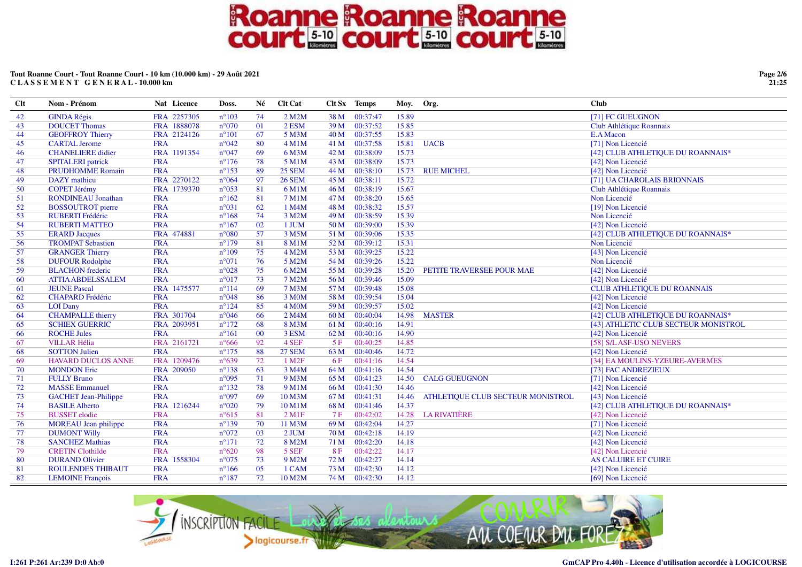### **Tout Roanne Court - Tout Roanne Court - 10 km (10.000 km) - 29 Août 2021C L A S S E M E N T G E N E R A L - 10.000 km**

| <b>Clt</b> | Nom - Prénom                | Nat Licence | Doss.          | Né              | <b>Clt Cat</b>    |                 | Clt Sx Temps | Moy. Org. |                                   | <b>Club</b>                          |
|------------|-----------------------------|-------------|----------------|-----------------|-------------------|-----------------|--------------|-----------|-----------------------------------|--------------------------------------|
| 42         | <b>GINDA Régis</b>          | FRA 2257305 | $n^{\circ}103$ | 74              | 2 M2M             | 38 M            | 00:37:47     | 15.89     |                                   | [71] FC GUEUGNON                     |
| 43         | <b>DOUCET Thomas</b>        | FRA 1888078 | $n^{\circ}070$ | $\overline{01}$ | 2 ESM             | 39 M            | 00:37:52     | 15.85     |                                   | Club Athlétique Roannais             |
| 44         | <b>GEOFFROY Thierry</b>     | FRA 2124126 | $n^{\circ}101$ | 67              | 5 M3M             | 40 M            | 00:37:55     | 15.83     |                                   | E.A Macon                            |
| 45         | <b>CARTAL Jerome</b>        | <b>FRA</b>  | $n^{\circ}042$ | 80              | $4$ M $1$ M       | 41 M            | 00:37:58     | 15.81     | <b>UACB</b>                       | [71] Non Licencié                    |
| 46         | <b>CHANELIERE</b> didier    | FRA 1191354 | $n^{\circ}047$ | 69              | 6 M3M             | 42 M            | 00:38:09     | 15.73     |                                   | [42] CLUB ATHLETIQUE DU ROANNAIS*    |
| 47         | <b>SPITALERI</b> patrick    | <b>FRA</b>  | $n^{\circ}176$ | 78              | 5 M1M             | 43 M            | 00:38:09     | 15.73     |                                   | [42] Non Licencié                    |
| 48         | <b>PRUDHOMME Romain</b>     | <b>FRA</b>  | $n^{\circ}153$ | 89              | <b>25 SEM</b>     | 44 M            | 00:38:10     | 15.73     | <b>RUE MICHEL</b>                 | [42] Non Licencié                    |
| 49         | <b>DAZY</b> mathieu         | FRA 2270122 | $n^{\circ}064$ | 97              | <b>26 SEM</b>     | 45 M            | 00:38:11     | 15.72     |                                   | [71] UA CHAROLAIS BRIONNAIS          |
| 50         | <b>COPET Jérémy</b>         | FRA 1739370 | $n^{\circ}053$ | 81              | 6 M1M             | 46 M            | 00:38:19     | 15.67     |                                   | Club Athlétique Roannais             |
| 51         | <b>RONDINEAU</b> Jonathan   | <b>FRA</b>  | $n^{\circ}162$ | 81              | 7 M1M             | 47 M            | 00:38:20     | 15.65     |                                   | Non Licencié                         |
| 52         | <b>BOSSOUTROT</b> pierre    | <b>FRA</b>  | $n^{\circ}031$ | 62              | 1 M4M             | 48 M            | 00:38:32     | 15.57     |                                   | [19] Non Licencié                    |
| 53         | <b>RUBERTI Frédéric</b>     | <b>FRA</b>  | $n^{\circ}168$ | 74              | 3 M2M             | 49 M            | 00:38:59     | 15.39     |                                   | Non Licencié                         |
| 54         | <b>RUBERTI MATTEO</b>       | <b>FRA</b>  | $n^{\circ}167$ | 02              | 1 JUM             | 50 M            | 00:39:00     | 15.39     |                                   | [42] Non Licencié                    |
| 55         | <b>ERARD</b> Jacques        | FRA 474881  | $n^{\circ}080$ | 57              | 3 M5M             | 51 M            | 00:39:06     | 15.35     |                                   | [42] CLUB ATHLETIQUE DU ROANNAIS*    |
| 56         | <b>TROMPAT Sebastien</b>    | <b>FRA</b>  | $n^{\circ}179$ | 81              | 8 M1M             | 52 M            | 00:39:12     | 15.31     |                                   | Non Licencié                         |
| 57         | <b>GRANGER Thierry</b>      | <b>FRA</b>  | $n^{\circ}109$ | 75              | 4 M2M             | 53 M            | 00:39:25     | 15.22     |                                   | [43] Non Licencié                    |
| 58         | <b>DUFOUR Rodolphe</b>      | <b>FRA</b>  | $n^{\circ}071$ | 76              | 5 M2M             | 54 M            | 00:39:26     | 15.22     |                                   | Non Licencié                         |
| 59         | <b>BLACHON</b> frederic     | <b>FRA</b>  | $n^{\circ}028$ | 75              | 6 M2M             | 55 M            | 00:39:28     | 15.20     | PETITE TRAVERSEE POUR MAE         | [42] Non Licencié                    |
| 60         | <b>ATTIA ABDELSSALEM</b>    | <b>FRA</b>  | $n^{\circ}017$ | 73              | 7 M2M             | 56 M            | 00:39:46     | 15.09     |                                   | [42] Non Licencié                    |
| 61         | <b>JEUNE Pascal</b>         | FRA 1475577 | $n^{\circ}114$ | 69              | 7 M3M             | 57 M            | 00:39:48     | 15.08     |                                   | <b>CLUB ATHLETIQUE DU ROANNAIS</b>   |
| 62         | <b>CHAPARD</b> Frédéric     | <b>FRA</b>  | $n^{\circ}048$ | 86              | 3 M0M             | 58 M            | 00:39:54     | 15.04     |                                   | [42] Non Licencié                    |
| 63         | <b>LOI</b> Dany             | <b>FRA</b>  | $n^{\circ}124$ | 85              | 4 M0M             | 59 M            | 00:39:57     | 15.02     |                                   | [42] Non Licencié                    |
| 64         | <b>CHAMPALLE</b> thierry    | FRA 301704  | $n^{\circ}046$ | 66              | 2 M4M             | 60 <sub>M</sub> | 00:40:04     | 14.98     | <b>MASTER</b>                     | [42] CLUB ATHLETIQUE DU ROANNAIS*    |
| 65         | <b>SCHIEX GUERRIC</b>       | FRA 2093951 | $n^{\circ}172$ | 68              | 8 M3M             | 61 M            | 00:40:16     | 14.91     |                                   | [43] ATHLETIC CLUB SECTEUR MONISTROL |
| -66        | <b>ROCHE Jules</b>          | <b>FRA</b>  | $n^{\circ}161$ | 00              | 3 ESM             | 62 M            | 00:40:16     | 14.90     |                                   | [42] Non Licencié                    |
| -67        | <b>VILLAR Hélia</b>         | FRA 2161721 | $n^{\circ}666$ | 92              | 4 SEF             | 5F              | 00:40:25     | 14.85     |                                   | [58] S/L ASF-USO NEVERS              |
| 68         | <b>SOTTON Julien</b>        | <b>FRA</b>  | $n^{\circ}175$ | 88              | <b>27 SEM</b>     | 63 M            | 00:40:46     | 14.72     |                                   | [42] Non Licencié                    |
| 69         | <b>HAVARD DUCLOS ANNE</b>   | FRA 1209476 | $n^{\circ}639$ | 72              | 1 M <sub>2F</sub> | 6 F             | 00:41:16     | 14.54     |                                   | [34] EA MOULINS-YZEURE-AVERMES       |
| 70         | <b>MONDON Eric</b>          | FRA 209050  | $n^{\circ}138$ | 63              | 3 M4M             | 64 M            | 00:41:16     | 14.54     |                                   | [73] FAC ANDREZIEUX                  |
| 71         | <b>FULLY Bruno</b>          | <b>FRA</b>  | $n^{\circ}095$ | 71              | 9 M3M             | 65 M            | 00:41:23     | 14.50     | <b>CALG GUEUGNON</b>              | [71] Non Licencié                    |
| 72         | <b>MASSE Emmanuel</b>       | <b>FRA</b>  | $n^{\circ}132$ | 78              | 9 M1M             | 66 M            | 00:41:30     | 14.46     |                                   | [42] Non Licencié                    |
| 73         | <b>GACHET</b> Jean-Philippe | <b>FRA</b>  | $n^{\circ}097$ | 69              | 10 M3M            | 67 M            | 00:41:31     | 14.46     | ATHLETIQUE CLUB SECTEUR MONISTROL | [43] Non Licencié                    |
| 74         | <b>BASILE Alberto</b>       | FRA 1216244 | $n^{\circ}020$ | 79              | 10 M1M            | 68 M            | 00:41:46     | 14.37     |                                   | [42] CLUB ATHLETIQUE DU ROANNAIS*    |
| 75         | <b>BUSSET</b> elodie        | <b>FRA</b>  | $n^{\circ}615$ | 81              | $2$ M1F           | 7F              | 00:42:02     | 14.28     | <b>LA RIVATIÈRE</b>               | [42] Non Licencié                    |
| 76         | <b>MOREAU</b> Jean philippe | <b>FRA</b>  | $n^{\circ}139$ | 70              | 11 M3M            | 69 M            | 00:42:04     | 14.27     |                                   | [71] Non Licencié                    |
| 77         | <b>DUMONT Willy</b>         | <b>FRA</b>  | $n^{\circ}072$ | 03              | $2$ JUM           | 70 M            | 00:42:18     | 14.19     |                                   | [42] Non Licencié                    |
| 78         | <b>SANCHEZ Mathias</b>      | <b>FRA</b>  | $n^{\circ}171$ | 72              | 8 M2M             | 71 M            | 00:42:20     | 14.18     |                                   | [42] Non Licencié                    |
| 79         | <b>CRETIN Clothilde</b>     | <b>FRA</b>  | $n^{\circ}620$ | 98              | 5 SEF             | 8F              | 00:42:22     | 14.17     |                                   | [42] Non Licencié                    |
| 80         | <b>DURAND Olivier</b>       | FRA 1558304 | $n^{\circ}075$ | 73              | 9 M2M             | 72 M            | 00:42:27     | 14.14     |                                   | <b>AS CALUIRE ET CUIRE</b>           |
| 81         | <b>ROULENDES THIBAUT</b>    | <b>FRA</b>  | $n^{\circ}166$ | 05              | 1 CAM             | 73 M            | 00:42:30     | 14.12     |                                   | [42] Non Licencié                    |
| 82         | <b>LEMOINE</b> François     | <b>FRA</b>  | $n^{\circ}187$ | 72              | 10 M2M            | 74 M            | 00:42:30     | 14.12     |                                   | [69] Non Licencié                    |



**Page 2/621:25**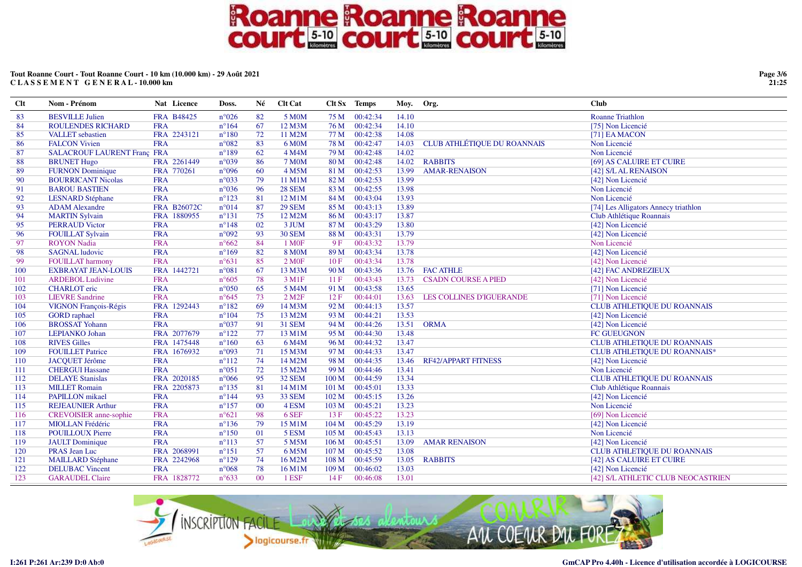### **Tout Roanne Court - Tout Roanne Court - 10 km (10.000 km) - 29 Août 2021C L A S S E M E N T G E N E R A L - 10.000 km**

| <b>Clt</b> | Nom - Prénom                       | Nat Licence        | Doss.           | Né     | <b>Clt Cat</b>       |                  | Clt Sx Temps | Moy. Org. |                                    | <b>Club</b>                          |
|------------|------------------------------------|--------------------|-----------------|--------|----------------------|------------------|--------------|-----------|------------------------------------|--------------------------------------|
| 83         | <b>BESVILLE Julien</b>             | <b>FRA B48425</b>  | $n^{\circ}026$  | 82     | 5 M0M                | 75 M             | 00:42:34     | 14.10     |                                    | <b>Roanne Triathlon</b>              |
| 84         | <b>ROULENDES RICHARD</b>           | <b>FRA</b>         | $n^{\circ}164$  | 67     | 12 M3M               | 76 M             | 00:42:34     | 14.10     |                                    | [75] Non Licencié                    |
| 85         | <b>VALLET</b> sebastien            | FRA 2243121        | $n^{\circ}180$  | 72     | 11 M2M               | 77 M             | 00:42:38     | 14.08     |                                    | [71] EA MACON                        |
| 86         | <b>FALCON Vivien</b>               | <b>FRA</b>         | $n^{\circ}082$  | 83     | 6 M0M                | 78 M             | 00:42:47     | 14.03     | <b>CLUB ATHLÉTIQUE DU ROANNAIS</b> | Non Licencié                         |
| 87         | <b>SALACROUF LAURENT Franç FRA</b> |                    | $n^{\circ}189$  | 62     | 4 M4M                | 79 M             | 00:42:48     | 14.02     |                                    | Non Licencié                         |
| 88         | <b>BRUNET Hugo</b>                 | FRA 2261449        | $n^{\circ}039$  | 86     | <b>7 MOM</b>         | 80 M             | 00:42:48     | 14.02     | <b>RABBITS</b>                     | [69] AS CALUIRE ET CUIRE             |
| 89         | <b>FURNON Dominique</b>            | FRA 770261         | n°096           | 60     | 4 M5M                | 81 M             | 00:42:53     | 13.99     | <b>AMAR-RENAISON</b>               | [42] S/L AL RENAISON                 |
| 90         | <b>BOURRICANT Nicolas</b>          | <b>FRA</b>         | $n^{\circ}033$  | 79     | 11 M1M               | 82 M             | 00:42:53     | 13.99     |                                    | [42] Non Licencié                    |
| 91         | <b>BAROU BASTIEN</b>               | <b>FRA</b>         | $n^{\circ}036$  | 96     | <b>28 SEM</b>        | 83 M             | 00:42:55     | 13.98     |                                    | Non Licencié                         |
| 92         | <b>LESNARD</b> Stéphane            | <b>FRA</b>         | $n^{\circ}123$  | 81     | 12 M1M               | 84 M             | 00:43:04     | 13.93     |                                    | Non Licencié                         |
| 93         | <b>ADAM</b> Alexandre              | <b>FRA B26072C</b> | $n^{\circ}014$  | 87     | <b>29 SEM</b>        | 85 M             | 00:43:13     | 13.89     |                                    | [74] Les Alligators Annecy triathlon |
| 94         | <b>MARTIN Sylvain</b>              | FRA 1880955        | $n^{\circ}131$  | 75     | 12 M2M               | 86 M             | 00:43:17     | 13.87     |                                    | Club Athlétique Roannais             |
| 95         | <b>PERRAUD Victor</b>              | <b>FRA</b>         | $n^{\circ}148$  | 02     | 3 JUM                | 87 <sub>M</sub>  | 00:43:29     | 13.80     |                                    | [42] Non Licencié                    |
| 96         | <b>FOUILLAT Sylvain</b>            | <b>FRA</b>         | $n^{\circ}092$  | 93     | <b>30 SEM</b>        | 88 M             | 00:43:31     | 13.79     |                                    | [42] Non Licencié                    |
| 97         | <b>ROYON</b> Nadia                 | <b>FRA</b>         | $n^{\circ}662$  | 84     | 1 M <sub>OF</sub>    | 9F               | 00:43:32     | 13.79     |                                    | Non Licencié                         |
| 98         | <b>SAGNAL</b> ludovic              | <b>FRA</b>         | $n^{\circ}169$  | 82     | <b>8 MOM</b>         | 89 M             | 00:43:34     | 13.78     |                                    | [42] Non Licencié                    |
| -99        | <b>FOUILLAT</b> harmony            | <b>FRA</b>         | $n^{\circ}631$  | 85     | 2 M0F                | 10F              | 00:43:34     | 13.78     |                                    | [42] Non Licencié                    |
| 100        | <b>EXBRAYAT JEAN-LOUIS</b>         | FRA 1442721        | $n^{\circ}081$  | 67     | 13 M3M               | 90 M             | 00:43:36     | 13.76     | <b>FAC ATHLE</b>                   | [42] FAC ANDREZIEUX                  |
| 101        | <b>ARDEBOL Ludivine</b>            | <b>FRA</b>         | $n^{\circ}605$  | 78     | 3 M1F                | 11F              | 00:43:43     | 13.73     | <b>CSADN COURSE A PIED</b>         | [42] Non Licencié                    |
| 102        | <b>CHARLOT</b> eric                | <b>FRA</b>         | $n^{\circ}050$  | 65     | 5 M4M                | 91 M             | 00:43:58     | 13.65     |                                    | [71] Non Licencié                    |
| 103        | <b>LIEVRE</b> Sandrine             | <b>FRA</b>         | $n^{\circ}645$  | 73     | $2$ M <sub>2</sub> F | 12F              | 00:44:01     | 13.63     | LES COLLINES D'IGUERANDE           | [71] Non Licencié                    |
| 104        | <b>VIGNON François-Régis</b>       | FRA 1292443        | $n^{\circ}182$  | 69     | 14 M3M               | 92 M             | 00:44:13     | 13.57     |                                    | <b>CLUB ATHLETIQUE DU ROANNAIS</b>   |
| 105        | <b>GORD</b> raphael                | <b>FRA</b>         | $n^{\circ}104$  | 75     | 13 M2M               | 93 M             | 00:44:21     | 13.53     |                                    | [42] Non Licencié                    |
| 106        | <b>BROSSAT Yohann</b>              | <b>FRA</b>         | $n^{\circ}037$  | 91     | <b>31 SEM</b>        | 94 M             | 00:44:26     | 13.51     | <b>ORMA</b>                        | [42] Non Licencié                    |
| 107        | <b>LEPIANKO</b> Johan              | FRA 2077679        | $n^{\circ}122$  | 77     | 13 M1M               | 95 M             | 00:44:30     | 13.48     |                                    | FC GUEUGNON                          |
| 108        | <b>RIVES Gilles</b>                | FRA 1475448        | $n^{\circ}160$  | 63     | 6 M4M                | 96 M             | 00:44:32     | 13.47     |                                    | CLUB ATHLETIQUE DU ROANNAIS          |
| 109        | <b>FOUILLET Patrice</b>            | FRA 1676932        | n°093           | 71     | 15 M3M               | 97 M             | 00:44:33     | 13.47     |                                    | <b>CLUB ATHLETIQUE DU ROANNAIS*</b>  |
| 110        | <b>JACQUET Jérôme</b>              | <b>FRA</b>         | $n^{\circ}112$  | 74     | 14 M2M               | 98 M             | 00:44:35     | 13.46     | <b>RF42/APPART FITNESS</b>         | [42] Non Licencié                    |
| 111        | <b>CHERGUI Hassane</b>             | <b>FRA</b>         | $n^{\circ}051$  | 72     | 15 M2M               | 99 M             | 00:44:46     | 13.41     |                                    | Non Licencié                         |
| 112        | <b>DELAYE</b> Stanislas            | FRA 2020185        | $n^{\circ}066$  | 95     | 32 SEM               | 100 M            | 00:44:59     | 13.34     |                                    | CLUB ATHLETIQUE DU ROANNAIS          |
| 113        | <b>MILLET Romain</b>               | FRA 2205873        | $n^{\circ}$ 135 | 81     | 14 M1M               | 101 M            | 00:45:01     | 13.33     |                                    | Club Athlétique Roannais             |
| 114        | <b>PAPILLON</b> mikael             | <b>FRA</b>         | $n^{\circ}144$  | 93     | <b>33 SEM</b>        | 102 M            | 00:45:15     | 13.26     |                                    | [42] Non Licencié                    |
| 115        | <b>REJEAUNIER Arthur</b>           | <b>FRA</b>         | $n^{\circ}157$  | $00\,$ | 4 ESM                | 103 M            | 00:45:21     | 13.23     |                                    | Non Licencié                         |
| 116        | <b>CREVOISIER</b> anne-sophie      | <b>FRA</b>         | $n^{\circ}621$  | 98     | 6 SEF                | 13 F             | 00:45:22     | 13.23     |                                    | [69] Non Licencié                    |
| 117        | <b>MIOLLAN</b> Frédéric            | <b>FRA</b>         | $n^{\circ}136$  | 79     | 15 M1M               | 104 M            | 00:45:29     | 13.19     |                                    | [42] Non Licencié                    |
| 118        | <b>POUILLOUX Pierre</b>            | <b>FRA</b>         | $n^{\circ}150$  | 01     | 5 ESM                | 105 <sub>M</sub> | 00:45:43     | 13.13     |                                    | Non Licencié                         |
| 119        | <b>JAULT</b> Dominique             | <b>FRA</b>         | $n^{\circ}113$  | 57     | 5 M5M                | 106 <sub>M</sub> | 00:45:51     | 13.09     | <b>AMAR RENAISON</b>               | [42] Non Licencié                    |
| 120        | PRAS Jean Luc                      | FRA 2068991        | $n^{\circ}151$  | 57     | 6 M5M                | 107 M            | 00:45:52     | 13.08     |                                    | CLUB ATHLETIQUE DU ROANNAIS          |
| 121        | <b>MAILLARD Stéphane</b>           | FRA 2242968        | $n^{\circ}129$  | 74     | 16 M2M               | 108 M            | 00:45:59     | 13.05     | <b>RABBITS</b>                     | [42] AS CALUIRE ET CUIRE             |
| 122        | <b>DELUBAC Vincent</b>             | <b>FRA</b>         | $n^{\circ}068$  | 78     | 16 M1M               | 109 M            | 00:46:02     | 13.03     |                                    | [42] Non Licencié                    |
| 123        | <b>GARAUDEL Claire</b>             | FRA 1828772        | $n^{\circ}633$  | $00\,$ | 1 ESF                | 14F              | 00:46:08     | 13.01     |                                    | [42] S/L ATHLETIC CLUB NEOCASTRIEN   |



**Page 3/621:25**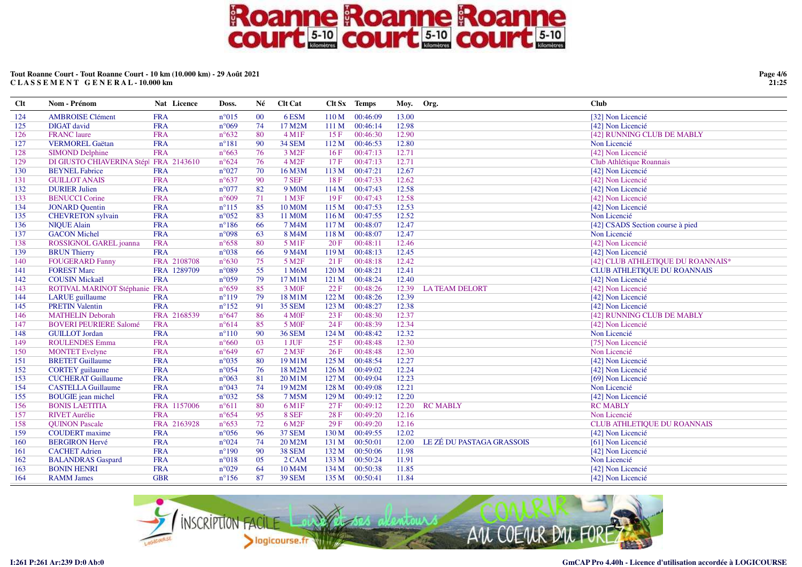### **Tout Roanne Court - Tout Roanne Court - 10 km (10.000 km) - 29 Août 2021C L A S S E M E N T G E N E R A L - 10.000 km**

| <b>Clt</b> | Nom - Prénom                           | Nat Licence | Doss.          | Né  | <b>Clt Cat</b>     |                  | Clt Sx Temps | Moy.  | Org.                      | <b>Club</b>                        |
|------------|----------------------------------------|-------------|----------------|-----|--------------------|------------------|--------------|-------|---------------------------|------------------------------------|
| 124        | <b>AMBROISE Clément</b>                | <b>FRA</b>  | $n^{\circ}015$ | 00  | 6ESM               | 110 <sub>M</sub> | 00:46:09     | 13.00 |                           | [32] Non Licencié                  |
| 125        | <b>DIGAT</b> david                     | <b>FRA</b>  | $n^{\circ}069$ | 74  | 17 M2M             | 111M             | 00:46:14     | 12.98 |                           | [42] Non Licencié                  |
| 126        | <b>FRANC</b> laure                     | <b>FRA</b>  | $n^{\circ}632$ | 80  | $4 \,\mathrm{M1F}$ | 15F              | 00:46:30     | 12.90 |                           | [42] RUNNING CLUB DE MABLY         |
| 127        | <b>VERMOREL Gaëtan</b>                 | <b>FRA</b>  | $n^{\circ}181$ | 90  | <b>34 SEM</b>      | 112M             | 00:46:53     | 12.80 |                           | Non Licencié                       |
| 128        | <b>SIMOND Delphine</b>                 | <b>FRA</b>  | $n^{\circ}663$ | 76  | 3 M <sub>2F</sub>  | 16F              | 00:47:13     | 12.71 |                           | [42] Non Licencié                  |
| 129        | DI GIUSTO CHIAVERINA Stépl FRA 2143610 |             | $n^{\circ}624$ | 76  | 4 M <sub>2F</sub>  | 17F              | 00:47:13     | 12.71 |                           | Club Athlétique Roannais           |
| 130        | <b>BEYNEL Fabrice</b>                  | <b>FRA</b>  | $n^{\circ}027$ | 70  | 16 M3M             | 113 M            | 00:47:21     | 12.67 |                           | [42] Non Licencié                  |
| 131        | <b>GUILLOT ANAIS</b>                   | <b>FRA</b>  | $n^{\circ}637$ | 90  | 7 SEF              | 18F              | 00:47:33     | 12.62 |                           | [42] Non Licencié                  |
| 132        | <b>DURIER Julien</b>                   | <b>FRA</b>  | $n^{\circ}077$ | 82  | 9 M <sub>0</sub> M | 114M             | 00:47:43     | 12.58 |                           | [42] Non Licencié                  |
| 133        | <b>BENUCCI</b> Corine                  | <b>FRA</b>  | $n^{\circ}609$ | 71  | $1$ M3F            | 19F              | 00:47:43     | 12.58 |                           | [42] Non Licencié                  |
| 134        | <b>JONARD</b> Quentin                  | <b>FRA</b>  | $n^{\circ}115$ | 85  | <b>10 MOM</b>      | 115M             | 00:47:53     | 12.53 |                           | [42] Non Licencié                  |
| 135        | <b>CHEVRETON</b> sylvain               | <b>FRA</b>  | $n^{\circ}052$ | 83  | 11 M0M             | 116M             | 00:47:55     | 12.52 |                           | Non Licencié                       |
| 136        | <b>NIQUE Alain</b>                     | <b>FRA</b>  | $n^{\circ}186$ | 66  | 7 M4M              | 117 M            | 00:48:07     | 12.47 |                           | [42] CSADS Section course à pied   |
| 137        | <b>GACON Michel</b>                    | <b>FRA</b>  | n°098          | 63  | 8 M4M              | 118 <sub>M</sub> | 00:48:07     | 12.47 |                           | Non Licencié                       |
| 138        | ROSSIGNOL GAREL joanna                 | <b>FRA</b>  | $n^{\circ}658$ | 80  | 5 M1F              | 20F              | 00:48:11     | 12.46 |                           | [42] Non Licencié                  |
| 139        | <b>BRUN</b> Thierry                    | <b>FRA</b>  | $n^{\circ}038$ | 66  | 9 M4M              | 119M             | 00:48:13     | 12.45 |                           | [42] Non Licencié                  |
| 140        | <b>FOUGERARD Fanny</b>                 | FRA 2108708 | $n^{\circ}630$ | 75  | 5 M <sub>2F</sub>  | 21 F             | 00:48:18     | 12.42 |                           | [42] CLUB ATHLETIQUE DU ROANNAIS*  |
| 141        | <b>FOREST Marc</b>                     | FRA 1289709 | $n^{\circ}089$ | 55  | 1 M6M              | 120 M            | 00:48:21     | 12.41 |                           | <b>CLUB ATHLETIQUE DU ROANNAIS</b> |
| 142        | <b>COUSIN Mickaël</b>                  | <b>FRA</b>  | n°059          | 79  | 17 M1M             | 121 M            | 00:48:24     | 12.40 |                           | [42] Non Licencié                  |
| 143        | ROTIVAL MARINOT Stéphanie FRA          |             | $n^{\circ}659$ | 85  | 3 M <sub>OF</sub>  | 22 F             | 00:48:26     | 12.39 | <b>LATEAM DELORT</b>      | [42] Non Licencié                  |
| 144        | <b>LARUE</b> guillaume                 | <b>FRA</b>  | $n^{\circ}119$ | 79  | 18 M1M             | 122 M            | 00:48:26     | 12.39 |                           | [42] Non Licencié                  |
| 145        | <b>PRETIN Valentin</b>                 | <b>FRA</b>  | $n^{\circ}152$ | 91  | <b>35 SEM</b>      | 123 M            | 00:48:27     | 12.38 |                           | [42] Non Licencié                  |
| 146        | <b>MATHELIN Deborah</b>                | FRA 2168539 | $n^{\circ}647$ | 86  | 4 M0F              | 23F              | 00:48:30     | 12.37 |                           | [42] RUNNING CLUB DE MABLY         |
| 147        | <b>BOVERI PEURIERE Salomé</b>          | <b>FRA</b>  | $n^{\circ}614$ | 85  | 5 M <sub>OF</sub>  | 24 F             | 00:48:39     | 12.34 |                           | [42] Non Licencié                  |
| 148        | <b>GUILLOT</b> Jordan                  | <b>FRA</b>  | $n^{\circ}110$ | 90  | <b>36 SEM</b>      | 124 M            | 00:48:42     | 12.32 |                           | Non Licencié                       |
| 149        | <b>ROULENDES Emma</b>                  | <b>FRA</b>  | $n^{\circ}660$ | 03  | 1 JUF              | 25 F             | 00:48:48     | 12.30 |                           | [75] Non Licencié                  |
| 150        | <b>MONTET</b> Evelyne                  | <b>FRA</b>  | $n^{\circ}649$ | 67  | $2$ M3F            | 26F              | 00:48:48     | 12.30 |                           | Non Licencié                       |
| 151        | <b>BRETET Guillaume</b>                | <b>FRA</b>  | $n^{\circ}035$ | 80  | 19 M1M             | 125 M            | 00:48:54     | 12.27 |                           | [42] Non Licencié                  |
| 152        | <b>CORTEY</b> guilaume                 | <b>FRA</b>  | $n^{\circ}054$ | 76  | 18 M2M             | 126 M            | 00:49:02     | 12.24 |                           | [42] Non Licencié                  |
| 153        | <b>CUCHERAT Guillaume</b>              | <b>FRA</b>  | $n^{\circ}063$ | 81  | 20 M1M             | 127 M            | 00:49:04     | 12.23 |                           | [69] Non Licencié                  |
| 154        | <b>CASTELLA Guillaume</b>              | <b>FRA</b>  | n°043          | 74  | 19 M2M             | 128 M            | 00:49:08     | 12.21 |                           | Non Licencié                       |
| 155        | <b>BOUGIE</b> jean michel              | <b>FRA</b>  | $n^{\circ}032$ | 58  | 7 M5M              | 129 M            | 00:49:12     | 12.20 |                           | [42] Non Licencié                  |
| 156        | <b>BONIS LAETITIA</b>                  | FRA 1157006 | $n^{\circ}611$ | 80  | 6 M1F              | 27F              | 00:49:12     | 12.20 | <b>RC MABLY</b>           | <b>RC MABLY</b>                    |
| 157        | <b>RIVET Aurélie</b>                   | <b>FRA</b>  | $n^{\circ}654$ | 95  | 8 SEF              | 28F              | 00:49:20     | 12.16 |                           | Non Licencié                       |
| 158        | <b>QUINON Pascale</b>                  | FRA 2163928 | $n^{\circ}653$ | 72  | 6 M <sub>2F</sub>  | 29F              | 00:49:20     | 12.16 |                           | <b>CLUB ATHLETIQUE DU ROANNAIS</b> |
| 159        | <b>COUDERT</b> maxime                  | <b>FRA</b>  | $n^{\circ}056$ | 96  | 37 SEM             | 130 M            | 00:49:55     | 12.02 |                           | [42] Non Licencié                  |
| 160        | <b>BERGIRON Hervé</b>                  | <b>FRA</b>  | $n^{\circ}024$ | 74  | 20 M2M             | 131 M            | 00:50:01     | 12.00 | LE ZÉ DU PASTAGA GRASSOIS | [61] Non Licencié                  |
| 161        | <b>CACHET</b> Adrien                   | <b>FRA</b>  | $n^{\circ}190$ | -90 | <b>38 SEM</b>      | 132 M            | 00:50:06     | 11.98 |                           | [42] Non Licencié                  |
| 162        | <b>BALANDRAS</b> Gaspard               | <b>FRA</b>  | $n^{\circ}018$ | 05  | 2 CAM              | 133 M            | 00:50:24     | 11.91 |                           | Non Licencié                       |
| 163        | <b>BONIN HENRI</b>                     | <b>FRA</b>  | n°029          | 64  | 10 M4M             | 134 M            | 00:50:38     | 11.85 |                           | [42] Non Licencié                  |
| 164        | <b>RAMM</b> James                      | <b>GBR</b>  | $n^{\circ}156$ | 87  | <b>39 SEM</b>      | 135 M            | 00:50:41     | 11.84 |                           | [42] Non Licencié                  |



**Page 4/621:25**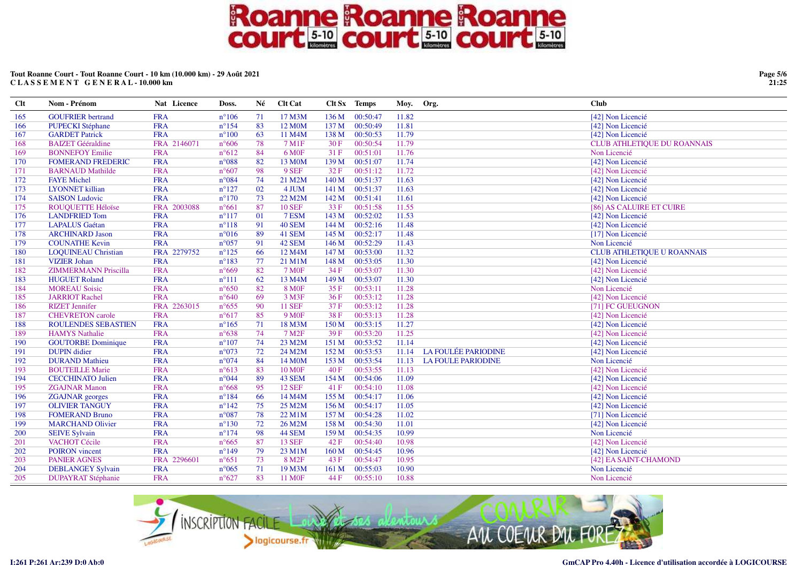### Tout Roanne Court - Tout Roanne Court - 10 km (10.000 km) - 29 Août 2021 CLASSEMENT GENERAL-10.000 km

| $Cl$ t | Nom - Prénom                | Nat Licence | Doss.          | Né | <b>Clt Cat</b>      |       | Clt Sx Temps | Moy.  | Org.                       | <b>Club</b>                        |
|--------|-----------------------------|-------------|----------------|----|---------------------|-------|--------------|-------|----------------------------|------------------------------------|
| 165    | <b>GOUFRIER</b> bertrand    | <b>FRA</b>  | $n^{\circ}106$ | 71 | 17 M3M              | 136 M | 00:50:47     | 11.82 |                            | [42] Non Licencié                  |
| 166    | <b>PUPECKI</b> Stéphane     | <b>FRA</b>  | $n^{\circ}154$ | 83 | 12 M <sub>0</sub> M | 137 M | 00:50:49     | 11.81 |                            | [42] Non Licencié                  |
| 167    | <b>GARDET Patrick</b>       | <b>FRA</b>  | $n^{\circ}100$ | 63 | 11 M4M              | 138 M | 00:50:53     | 11.79 |                            | [42] Non Licencié                  |
| 168    | <b>BAIZET</b> Gééraldine    | FRA 2146071 | $n^{\circ}606$ | 78 | 7 M1F               | 30 F  | 00:50:54     | 11.79 |                            | <b>CLUB ATHLETIQUE DU ROANNAIS</b> |
| 169    | <b>BONNEFOY Emilie</b>      | <b>FRA</b>  | $n^{\circ}612$ | 84 | 6 M <sub>OF</sub>   | 31F   | 00:51:01     | 11.76 |                            | Non Licencié                       |
| 170    | <b>FOMERAND FREDERIC</b>    | <b>FRA</b>  | $n^{\circ}088$ | 82 | 13 M <sub>0</sub> M | 139 M | 00:51:07     | 11.74 |                            | [42] Non Licencié                  |
| 171    | <b>BARNAUD Mathilde</b>     | <b>FRA</b>  | $n^{\circ}607$ | 98 | 9 SEF               | 32 F  | 00:51:12     | 11.72 |                            | [42] Non Licencié                  |
| 172    | <b>FAYE</b> Michel          | <b>FRA</b>  | $n^{\circ}084$ | 74 | 21 M2M              | 140 M | 00:51:37     | 11.63 |                            | [42] Non Licencié                  |
| 173    | <b>LYONNET</b> killian      | <b>FRA</b>  | $n^{\circ}127$ | 02 | 4 JUM               | 141 M | 00:51:37     | 11.63 |                            | [42] Non Licencié                  |
| 174    | <b>SAISON Ludovic</b>       | <b>FRA</b>  | $n^{\circ}170$ | 73 | 22 M2M              | 142 M | 00:51:41     | 11.61 |                            | [42] Non Licencié                  |
| 175    | ROUQUETTE Héloïse           | FRA 2003088 | $n^{\circ}661$ | 87 | <b>10 SEF</b>       | 33F   | 00:51:58     | 11.55 |                            | [86] AS CALUIRE ET CUIRE           |
| 176    | <b>LANDFRIED Tom</b>        | <b>FRA</b>  | $n^{\circ}117$ | 01 | 7 ESM               | 143 M | 00:52:02     | 11.53 |                            | [42] Non Licencié                  |
| 177    | <b>LAPALUS</b> Gaétan       | <b>FRA</b>  | $n^{\circ}118$ | 91 | 40 SEM              | 144 M | 00:52:16     | 11.48 |                            | [42] Non Licencié                  |
| 178    | <b>ARCHINARD Jason</b>      | <b>FRA</b>  | $n^{\circ}016$ | 89 | 41 SEM              | 145 M | 00:52:17     | 11.48 |                            | [17] Non Licencié                  |
| 179    | <b>COUNATHE Kevin</b>       | <b>FRA</b>  | $n^{\circ}057$ | 91 | 42 SEM              | 146 M | 00:52:29     | 11.43 |                            | Non Licencié                       |
| 180    | <b>LOQUINEAU Christian</b>  | FRA 2279752 | $n^{\circ}125$ | 66 | 12 M4M              | 147 M | 00:53:00     | 11.32 |                            | <b>CLUB ATHLETIQUE U ROANNAIS</b>  |
| 181    | <b>VIZIER Johan</b>         | <b>FRA</b>  | $n^{\circ}183$ | 77 | 21 M1M              | 148 M | 00:53:05     | 11.30 |                            | [42] Non Licencié                  |
| 182    | <b>ZIMMERMANN Priscilla</b> | <b>FRA</b>  | $n^{\circ}669$ | 82 | <b>7 MOF</b>        | 34F   | 00:53:07     | 11.30 |                            | [42] Non Licencié                  |
| 183    | <b>HUGUET Roland</b>        | <b>FRA</b>  | $n^{\circ}111$ | 62 | 13 M4M              | 149 M | 00:53:07     | 11.30 |                            | [42] Non Licencié                  |
| 184    | <b>MOREAU Soisic</b>        | <b>FRA</b>  | $n^{\circ}650$ | 82 | <b>8 MOF</b>        | 35 F  | 00:53:11     | 11.28 |                            | Non Licencié                       |
| 185    | <b>JARRIOT Rachel</b>       | <b>FRA</b>  | $n^{\circ}640$ | 69 | 3 M3F               | 36F   | 00:53:12     | 11.28 |                            | [42] Non Licencié                  |
| 186    | <b>RIZET</b> Jennifer       | FRA 2263015 | $n^{\circ}655$ | 90 | <b>11 SEF</b>       | 37 F  | 00:53:12     | 11.28 |                            | [71] FC GUEUGNON                   |
| 187    | <b>CHEVRETON</b> carole     | <b>FRA</b>  | $n^{\circ}617$ | 85 | 9 M <sub>OF</sub>   | 38F   | 00:53:13     | 11.28 |                            | [42] Non Licencié                  |
| 188    | <b>ROULENDES SEBASTIEN</b>  | <b>FRA</b>  | $n^{\circ}165$ | 71 | 18 M3M              | 150 M | 00:53:15     | 11.27 |                            | [42] Non Licencié                  |
| 189    | <b>HAMYS Nathalie</b>       | <b>FRA</b>  | $n^{\circ}638$ | 74 | 7 M <sub>2</sub> F  | 39F   | 00:53:20     | 11.25 |                            | [42] Non Licencié                  |
| 190    | <b>GOUTORBE Dominique</b>   | <b>FRA</b>  | $n^{\circ}107$ | 74 | 23 M2M              | 151 M | 00:53:52     | 11.14 |                            | [42] Non Licencié                  |
| 191    | <b>DUPIN</b> didier         | <b>FRA</b>  | n°073          | 72 | 24 M2M              | 152M  | 00:53:53     | 11.14 | <b>LA FOULÉE PARIODINE</b> | [42] Non Licencié                  |
| 192    | <b>DURAND</b> Mathieu       | <b>FRA</b>  | $n^{\circ}074$ | 84 | 14 M <sub>0</sub> M | 153 M | 00:53:54     | 11.13 | <b>LA FOULE PARIODINE</b>  | Non Licencié                       |
| 193    | <b>BOUTEILLE Marie</b>      | <b>FRA</b>  | $n^{\circ}613$ | 83 | <b>10 MOF</b>       | 40F   | 00:53:55     | 11.13 |                            | [42] Non Licencié                  |
| 194    | <b>CECCHINATO Julien</b>    | <b>FRA</b>  | $n^{\circ}044$ | 89 | 43 SEM              | 154 M | 00:54:06     | 11.09 |                            | [42] Non Licencié                  |
| 195    | <b>ZGAJNAR Manon</b>        | <b>FRA</b>  | $n^{\circ}668$ | 95 | <b>12 SEF</b>       | 41F   | 00:54:10     | 11.08 |                            | [42] Non Licencié                  |
| 196    | <b>ZGAJNAR</b> georges      | <b>FRA</b>  | $n^{\circ}184$ | 66 | 14 M4M              | 155 M | 00:54:17     | 11.06 |                            | [42] Non Licencié                  |
| 197    | <b>OLIVIER TANGUY</b>       | <b>FRA</b>  | $n^{\circ}142$ | 75 | 25 M2M              | 156 M | 00:54:17     | 11.05 |                            | [42] Non Licencié                  |
| 198    | <b>FOMERAND Bruno</b>       | <b>FRA</b>  | $n^{\circ}087$ | 78 | 22 M1M              | 157 M | 00:54:28     | 11.02 |                            | [71] Non Licencié                  |
| 199    | <b>MARCHAND Olivier</b>     | <b>FRA</b>  | $n^{\circ}130$ | 72 | 26 M2M              | 158 M | 00:54:30     | 11.01 |                            | [42] Non Licencié                  |
| 200    | <b>SEIVE Sylvain</b>        | <b>FRA</b>  | $n^{\circ}174$ | 98 | 44 SEM              | 159 M | 00:54:35     | 10.99 |                            | Non Licencié                       |
| 201    | VACHOT Cécile               | <b>FRA</b>  | $n^{\circ}665$ | 87 | <b>13 SEF</b>       | 42 F  | 00:54:40     | 10.98 |                            | [42] Non Licencié                  |
| 202    | <b>POIRON</b> vincent       | <b>FRA</b>  | $n^{\circ}149$ | 79 | 23 M1M              | 160 M | 00:54:45     | 10.96 |                            | [42] Non Licencié                  |
| 203    | <b>PANIER AGNES</b>         | FRA 2296601 | $n^{\circ}651$ | 73 | 8 M <sub>2F</sub>   | 43 F  | 00:54:47     | 10.95 |                            | [42] EA SAINT-CHAMOND              |
| 204    | <b>DEBLANGEY Sylvain</b>    | <b>FRA</b>  | $n^{\circ}065$ | 71 | 19 M3M              | 161 M | 00:55:03     | 10.90 |                            | Non Licencié                       |
| 205    | <b>DUPAYRAT Stéphanie</b>   | <b>FRA</b>  | $n^{\circ}627$ | 83 | <b>11 MOF</b>       | 44 F  | 00:55:10     | 10.88 |                            | Non Licencié                       |



Page 5/6 21:25